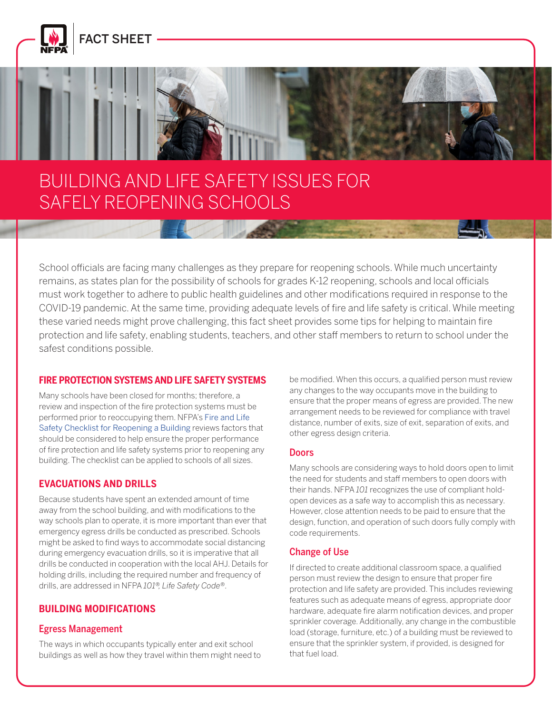

FACT SHEET



# BUILDING AND LIFE SAFETY ISSUES FOR SAFELY REOPENING SCHOOLS

School officials are facing many challenges as they prepare for reopening schools. While much uncertainty remains, as states plan for the possibility of schools for grades K-12 reopening, schools and local officials must work together to adhere to public health guidelines and other modifications required in response to the COVID-19 pandemic. At the same time, providing adequate levels of fire and life safety is critical. While meeting these varied needs might prove challenging, this fact sheet provides some tips for helping to maintain fire protection and life safety, enabling students, teachers, and other staff members to return to school under the safest conditions possible.

### **FIRE PROTECTION SYSTEMS AND LIFE SAFETY SYSTEMS**

Many schools have been closed for months; therefore, a review and inspection of the fire protection systems must be performed prior to reoccupying them. NFPA's [Fire and Life](https://www.nfpa.org/-/media/Files/Coronavirus/CoronavirusReopeningBuildingsChecklist.ashx)  [Safety Checklist for Reopening a Building](https://www.nfpa.org/-/media/Files/Coronavirus/CoronavirusReopeningBuildingsChecklist.ashx) reviews factors that should be considered to help ensure the proper performance of fire protection and life safety systems prior to reopening any building. The checklist can be applied to schools of all sizes.

### **EVACUATIONS AND DRILLS**

Because students have spent an extended amount of time away from the school building, and with modifications to the way schools plan to operate, it is more important than ever that emergency egress drills be conducted as prescribed. Schools might be asked to find ways to accommodate social distancing during emergency evacuation drills, so it is imperative that all drills be conducted in cooperation with the local AHJ. Details for holding drills, including the required number and frequency of drills, are addressed in NFPA *101®, Life Safety Code®*.

### **BUILDING MODIFICATIONS**

### Egress Management

The ways in which occupants typically enter and exit school buildings as well as how they travel within them might need to be modified. When this occurs, a qualified person must review any changes to the way occupants move in the building to ensure that the proper means of egress are provided. The new arrangement needs to be reviewed for compliance with travel distance, number of exits, size of exit, separation of exits, and other egress design criteria.

#### **Doors**

Many schools are considering ways to hold doors open to limit the need for students and staff members to open doors with their hands. NFPA *101* recognizes the use of compliant holdopen devices as a safe way to accomplish this as necessary. However, close attention needs to be paid to ensure that the design, function, and operation of such doors fully comply with code requirements.

### Change of Use

If directed to create additional classroom space, a qualified person must review the design to ensure that proper fire protection and life safety are provided. This includes reviewing features such as adequate means of egress, appropriate door hardware, adequate fire alarm notification devices, and proper sprinkler coverage. Additionally, any change in the combustible load (storage, furniture, etc.) of a building must be reviewed to ensure that the sprinkler system, if provided, is designed for that fuel load.